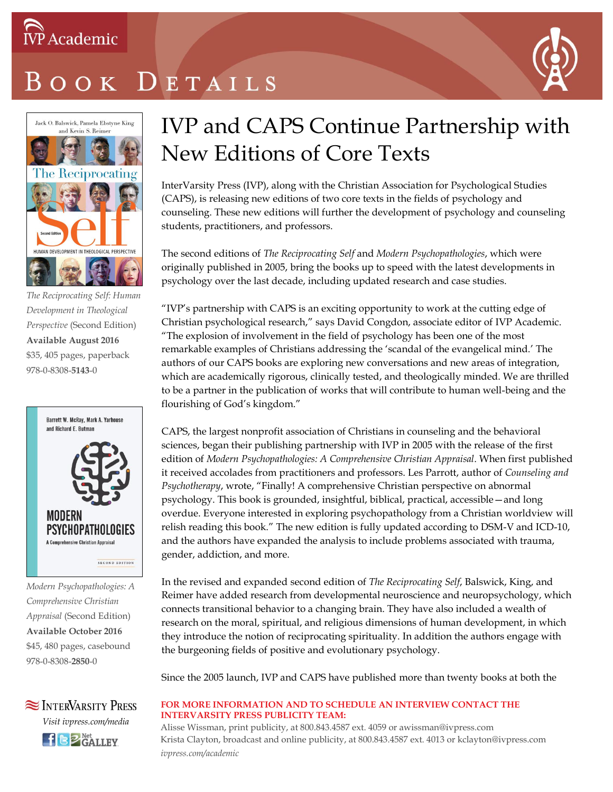

# OOK DETAILS



*The Reciprocating Self: Human Development in Theological Perspective* (Second Edition) **Available August 2016** \$35, 405 pages, paperback 978-0-8308-**5143**-0



*Modern Psychopathologies: A Comprehensive Christian Appraisal* (Second Edition) **Available October 2016** \$45, 480 pages, casebound 978-0-8308-**2850**-0



### IVP and CAPS Continue Partnership with New Editions of Core Texts

InterVarsity Press (IVP), along with the Christian Association for Psychological Studies (CAPS), is releasing new editions of two core texts in the fields of psychology and counseling. These new editions will further the development of psychology and counseling students, practitioners, and professors.

The second editions of *The Reciprocating Self* and *Modern Psychopathologies*, which were originally published in 2005, bring the books up to speed with the latest developments in psychology over the last decade, including updated research and case studies.

"IVP's partnership with CAPS is an exciting opportunity to work at the cutting edge of Christian psychological research," says David Congdon, associate editor of IVP Academic. "The explosion of involvement in the field of psychology has been one of the most remarkable examples of Christians addressing the 'scandal of the evangelical mind.' The authors of our CAPS books are exploring new conversations and new areas of integration, which are academically rigorous, clinically tested, and theologically minded. We are thrilled to be a partner in the publication of works that will contribute to human well-being and the flourishing of God's kingdom."

CAPS, the largest nonprofit association of Christians in counseling and the behavioral sciences, began their publishing partnership with IVP in 2005 with the release of the first edition of *Modern Psychopathologies: A Comprehensive Christian Appraisal*. When first published it received accolades from practitioners and professors. Les Parrott, author of *Counseling and Psychotherapy*, wrote, "Finally! A comprehensive Christian perspective on abnormal psychology. This book is grounded, insightful, biblical, practical, accessible—and long overdue. Everyone interested in exploring psychopathology from a Christian worldview will relish reading this book." The new edition is fully updated according to DSM-V and ICD-10, and the authors have expanded the analysis to include problems associated with trauma, gender, addiction, and more.

In the revised and expanded second edition of *The Reciprocating Self*, Balswick, King, and Reimer have added research from developmental neuroscience and neuropsychology, which connects transitional behavior to a changing brain. They have also included a wealth of research on the moral, spiritual, and religious dimensions of human development, in which they introduce the notion of reciprocating spirituality. In addition the authors engage with the burgeoning fields of positive and evolutionary psychology.

Since the 2005 launch, IVP and CAPS have published more than twenty books at both the

#### **FOR MORE INFORMATION AND TO SCHEDULE AN INTERVIEW CONTACT THE INTERVARSITY PRESS PUBLICITY TEAM:**

Alisse Wissman, print publicity, at 800.843.4587 ext. 4059 or awissman@ivpress.com Krista Clayton, broadcast and online publicity, at 800.843.4587 ext. 4013 or kclayton@ivpress.com *ivpress.com/academic*